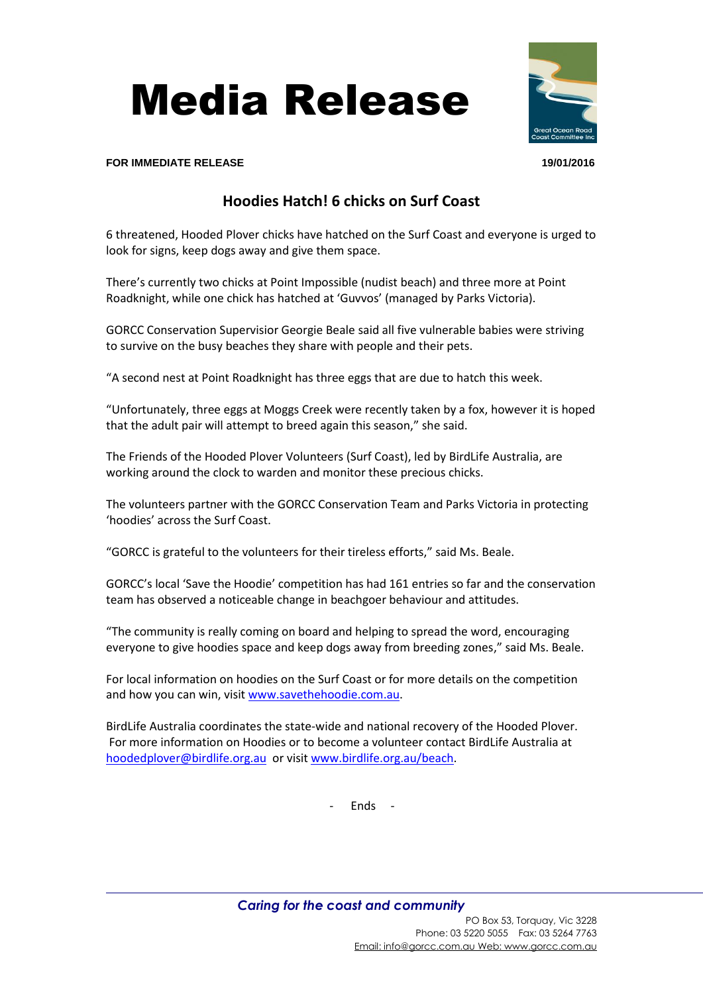



## **FOR IMMEDIATE RELEASE 19/01/2016**

## **Hoodies Hatch! 6 chicks on Surf Coast**

6 threatened, Hooded Plover chicks have hatched on the Surf Coast and everyone is urged to look for signs, keep dogs away and give them space.

There's currently two chicks at Point Impossible (nudist beach) and three more at Point Roadknight, while one chick has hatched at 'Guvvos' (managed by Parks Victoria).

GORCC Conservation Supervisior Georgie Beale said all five vulnerable babies were striving to survive on the busy beaches they share with people and their pets.

"A second nest at Point Roadknight has three eggs that are due to hatch this week.

"Unfortunately, three eggs at Moggs Creek were recently taken by a fox, however it is hoped that the adult pair will attempt to breed again this season," she said.

The Friends of the Hooded Plover Volunteers (Surf Coast), led by BirdLife Australia, are working around the clock to warden and monitor these precious chicks.

The volunteers partner with the GORCC Conservation Team and Parks Victoria in protecting 'hoodies' across the Surf Coast.

"GORCC is grateful to the volunteers for their tireless efforts," said Ms. Beale.

GORCC's local 'Save the Hoodie' competition has had 161 entries so far and the conservation team has observed a noticeable change in beachgoer behaviour and attitudes.

"The community is really coming on board and helping to spread the word, encouraging everyone to give hoodies space and keep dogs away from breeding zones," said Ms. Beale.

For local information on hoodies on the Surf Coast or for more details on the competition and how you can win, visit [www.savethehoodie.com.au.](http://www.savethehoodie.com.au/)

BirdLife Australia coordinates the state-wide and national recovery of the Hooded Plover. For more information on Hoodies or to become a volunteer contact BirdLife Australia at [hoodedplover@birdlife.org.au](mailto:hoodedplover@birdlife.org.au) or visi[t www.birdlife.org.au/beach.](http://www.birdlife.org.au/beach)

- Ends -